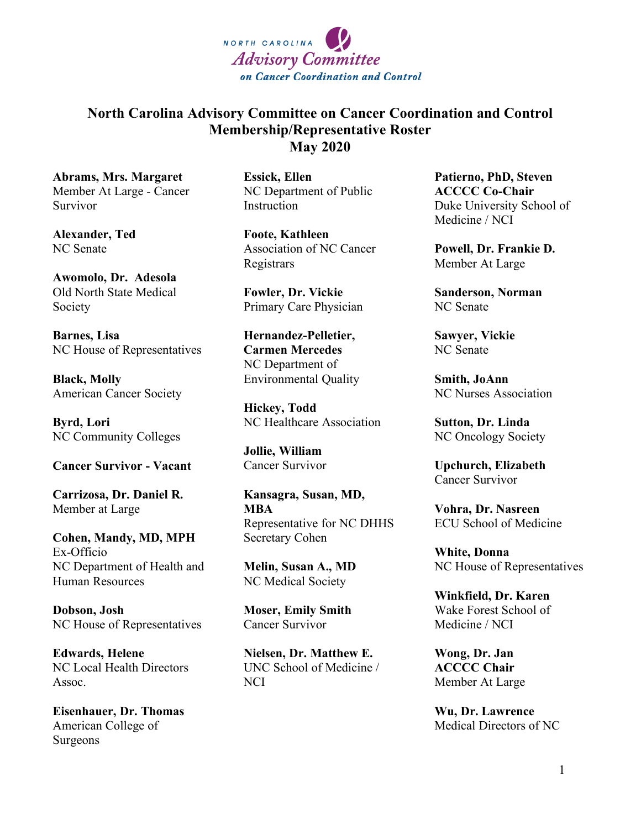

## **North Carolina Advisory Committee on Cancer Coordination and Control Membership/Representative Roster May 2020**

**Abrams, Mrs. Margaret** Member At Large - Cancer Survivor

**Alexander, Ted** NC Senate

**Awomolo, Dr. Adesola** Old North State Medical Society

**Barnes, Lisa** NC House of Representatives

**Black, Molly** American Cancer Society

**Byrd, Lori** NC Community Colleges

## **Cancer Survivor - Vacant**

**Carrizosa, Dr. Daniel R.** Member at Large

**Cohen, Mandy, MD, MPH** Ex-Officio NC Department of Health and Human Resources

**Dobson, Josh** NC House of Representatives

**Edwards, Helene** NC Local Health Directors Assoc.

**Eisenhauer, Dr. Thomas** American College of Surgeons

**Essick, Ellen** NC Department of Public **Instruction** 

**Foote, Kathleen** Association of NC Cancer Registrars

**Fowler, Dr. Vickie** Primary Care Physician

**Hernandez-Pelletier, Carmen Mercedes** NC Department of Environmental Quality

**Hickey, Todd** NC Healthcare Association

**Jollie, William** Cancer Survivor

**Kansagra, Susan, MD, MBA** Representative for NC DHHS Secretary Cohen

**Melin, Susan A., MD** NC Medical Society

**Moser, Emily Smith** Cancer Survivor

**Nielsen, Dr. Matthew E.** UNC School of Medicine / NCI

**Patierno, PhD, Steven ACCCC Co-Chair** Duke University School of Medicine / NCI

**Powell, Dr. Frankie D.** Member At Large

**Sanderson, Norman** NC Senate

**Sawyer, Vickie** NC Senate

**Smith, JoAnn** NC Nurses Association

**Sutton, Dr. Linda** NC Oncology Society

**Upchurch, Elizabeth** Cancer Survivor

**Vohra, Dr. Nasreen** ECU School of Medicine

**White, Donna** NC House of Representatives

**Winkfield, Dr. Karen** Wake Forest School of Medicine / NCI

**Wong, Dr. Jan ACCCC Chair** Member At Large

**Wu, Dr. Lawrence** Medical Directors of NC